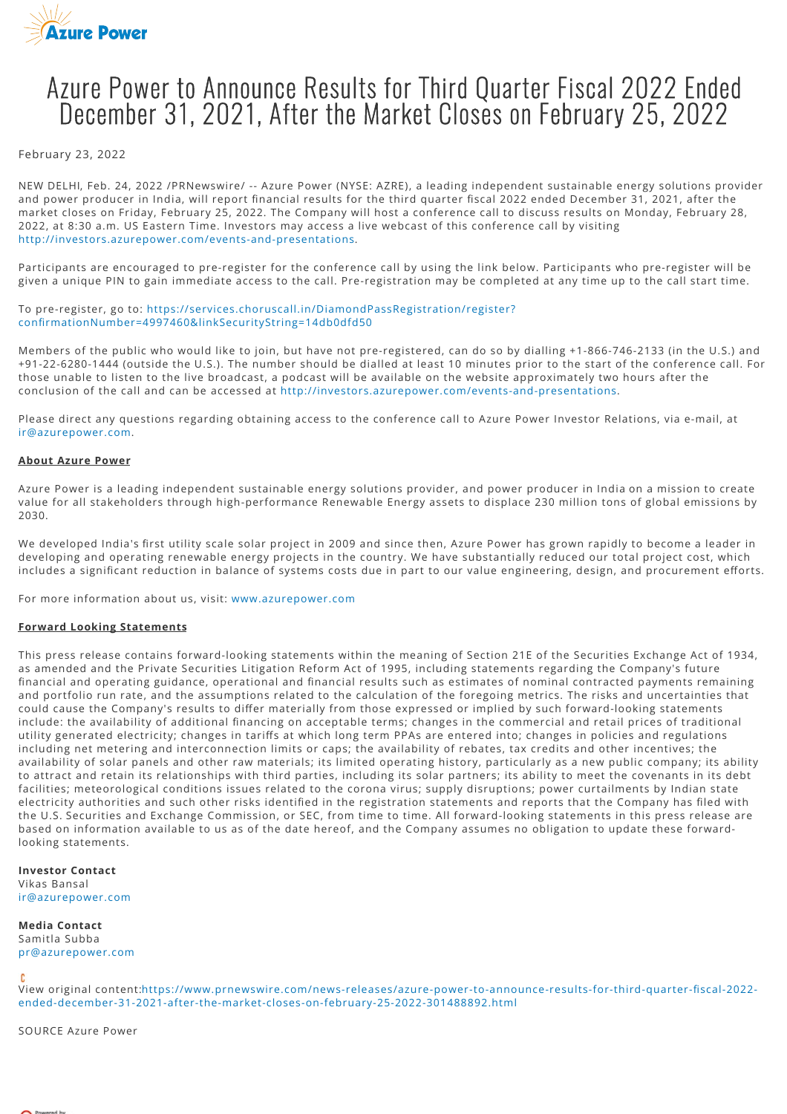

## Azure Power to Announce Results for Third Quarter Fiscal 2022 Ended December 31, 2021, After the Market Closes on February 25, 2022

February 23, 2022

NEW DELHI, Feb. 24, 2022 /PRNewswire/ -- Azure Power (NYSE: AZRE), a leading independent sustainable energy solutions provider and power producer in India, will report financial results for the third quarter fiscal 2022 ended December 31, 2021, after the market closes on Friday, February 25, 2022. The Company will host a conference call to discuss results on Monday, February 28, 2022, at 8:30 a.m. US Eastern Time. Investors may access a live webcast of this conference call by visiting <http://investors.azurepower.com/events-and-presentations>.

Participants are encouraged to pre-register for the conference call by using the link below. Participants who pre-register will be given a unique PIN to gain immediate access to the call. Pre-registration may be completed at any time up to the call start time.

[To pre-register, go to: https://services.choruscall.in/DiamondPassRegistration/register?](https://services.choruscall.in/DiamondPassRegistration/register?confirmationNumber=4997460&linkSecurityString=14db0dfd50) confirmationNumber=4997460&linkSecurityString=14db0dfd50

Members of the public who would like to join, but have not pre-registered, can do so by dialling +1-866-746-2133 (in the U.S.) and +91-22-6280-1444 (outside the U.S.). The number should be dialled at least 10 minutes prior to the start of the conference call. For those unable to listen to the live broadcast, a podcast will be available on the website approximately two hours after the conclusion of the call and can be accessed at [http://investors.azurepower.com/events-and-presentations.](http://investors.azurepower.com/events-and-presentations)

Please direct any questions regarding obtaining access to the conference call to Azure Power Investor Relations, via e-mail, at [ir@azurepower.com](mailto:ir@azurepower.com).

## **About Azure Power**

Azure Power is a leading independent sustainable energy solutions provider, and power producer in India on a mission to create value for all stakeholders through high-performance Renewable Energy assets to displace 230 million tons of global emissions by 2030.

We developed India's first utility scale solar project in 2009 and since then, Azure Power has grown rapidly to become a leader in developing and operating renewable energy projects in the country. We have substantially reduced our total project cost, which includes a significant reduction in balance of systems costs due in part to our value engineering, design, and procurement efforts.

For more information about us, visit: [www.azurepower.com](http://www.azurepower.com/)

## **Forward Looking Statements**

This press release contains forward-looking statements within the meaning of Section 21E of the Securities Exchange Act of 1934, as amended and the Private Securities Litigation Reform Act of 1995, including statements regarding the Company's future financial and operating guidance, operational and financial results such as estimates of nominal contracted payments remaining and portfolio run rate, and the assumptions related to the calculation of the foregoing metrics. The risks and uncertainties that could cause the Company's results to differ materially from those expressed or implied by such forward-looking statements include: the availability of additional financing on acceptable terms; changes in the commercial and retail prices of traditional utility generated electricity; changes in tariffs at which long term PPAs are entered into; changes in policies and regulations including net metering and interconnection limits or caps; the availability of rebates, tax credits and other incentives; the availability of solar panels and other raw materials; its limited operating history, particularly as a new public company; its ability to attract and retain its relationships with third parties, including its solar partners; its ability to meet the covenants in its debt facilities; meteorological conditions issues related to the corona virus; supply disruptions; power curtailments by Indian state electricity authorities and such other risks identified in the registration statements and reports that the Company has filed with the U.S. Securities and Exchange Commission, or SEC, from time to time. All forward-looking statements in this press release are based on information available to us as of the date hereof, and the Company assumes no obligation to update these forwardlooking statements.

**Investor Contact** Vikas Bansal [ir@azurepower.com](mailto:ir@azurepower.com)

**Media Contact**  Samitla Subba [pr@azurepower.com](mailto:pr@azurepower.com)

View original content:https://www.prnewswire.com/news-releases/azure-power-to-announce-results-for-third-quarter-fiscal-2022ended-december-31-2021-after-the-market-closes-on-february-25-2022-301488892.html

SOURCE Azure Power